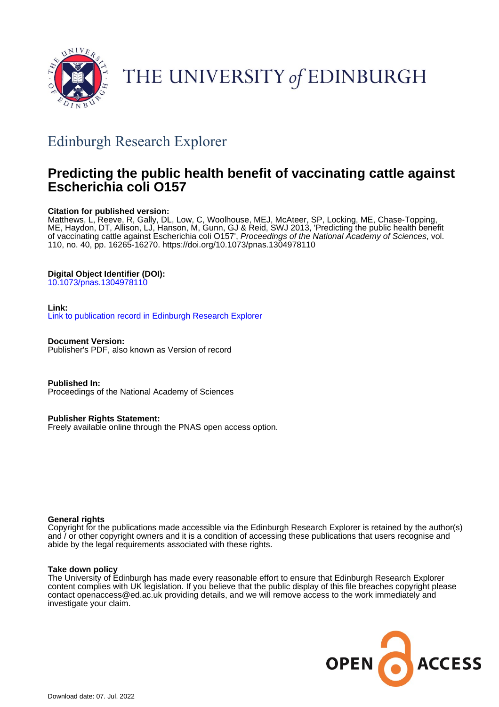

# THE UNIVERSITY of EDINBURGH

### Edinburgh Research Explorer

### **Predicting the public health benefit of vaccinating cattle against Escherichia coli O157**

#### **Citation for published version:**

Matthews, L, Reeve, R, Gally, DL, Low, C, Woolhouse, MEJ, McAteer, SP, Locking, ME, Chase-Topping, ME, Haydon, DT, Allison, LJ, Hanson, M, Gunn, GJ & Reid, SWJ 2013, 'Predicting the public health benefit of vaccinating cattle against Escherichia coli O157', *Proceedings of the National Ācademy of Sciences*, vol. 110, no. 40, pp. 16265-16270. <https://doi.org/10.1073/pnas.1304978110>

#### **Digital Object Identifier (DOI):**

[10.1073/pnas.1304978110](https://doi.org/10.1073/pnas.1304978110)

#### **Link:**

[Link to publication record in Edinburgh Research Explorer](https://www.research.ed.ac.uk/en/publications/456c237d-5a40-4cb1-b815-1dc101470ed4)

**Document Version:**

Publisher's PDF, also known as Version of record

**Published In:** Proceedings of the National Academy of Sciences

#### **Publisher Rights Statement:**

Freely available online through the PNAS open access option.

#### **General rights**

Copyright for the publications made accessible via the Edinburgh Research Explorer is retained by the author(s) and / or other copyright owners and it is a condition of accessing these publications that users recognise and abide by the legal requirements associated with these rights.

#### **Take down policy**

The University of Edinburgh has made every reasonable effort to ensure that Edinburgh Research Explorer content complies with UK legislation. If you believe that the public display of this file breaches copyright please contact openaccess@ed.ac.uk providing details, and we will remove access to the work immediately and investigate your claim.

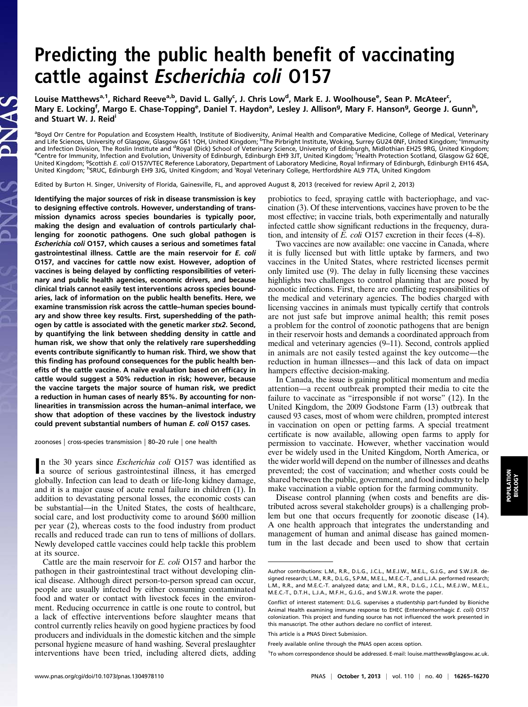## Predicting the public health benefit of vaccinating cattle against Escherichia coli O157

Louise Matthews<sup>a, 1</sup>, Richard Reeve<sup>a, b</sup>, David L. Gally<sup>c</sup>, J. Chris Low<sup>d</sup>, Mark E. J. Woolhouse<sup>e</sup>, Sean P. McAteer<sup>c</sup>, Mary E. Locking<sup>f</sup>, Margo E. Chase-Topping<sup>e</sup>, Daniel T. Haydon<sup>a</sup>, Lesley J. Allison<sup>g</sup>, Mary F. Hanson<sup>g</sup>, George J. Gunn<sup>h</sup>, and Stuart W. J. Reid<sup>i</sup>

<sup>a</sup>Boyd Orr Centre for Population and Ecosystem Health, Institute of Biodiversity, Animal Health and Comparative Medicine, College of Medical, Veterinary and Life Sciences, University of Glasgow, Glasgow G61 1QH, United Kingdom; <sup>b</sup>The Pirbright Institute, Woking, Surrey GU24 0NF, United Kingdom; <sup>c</sup>Immunity<br>and Infection Division, The Roslin Institute and <sup>4</sup>Royal (Dick) S <sup>e</sup>Centre for Immunity, Infection and Evolution, University of Edinburgh, Edinburgh EH9 3JT, United Kingdom; <sup>f</sup>Health Protection Scotland, Glasgow G2 6QE,<br>United Kingdom; <sup>g</sup>Scottish *E. coli* O157/VTEC Reference Laborato United Kingdom; <sup>h</sup>SRUC, Edinburgh EH9 3JG, United Kingdom; and Royal Veterinary College, Hertfordshire AL9 7TA, United Kingdom

Edited by Burton H. Singer, University of Florida, Gainesville, FL, and approved August 8, 2013 (received for review April 2, 2013)

Identifying the major sources of risk in disease transmission is key to designing effective controls. However, understanding of transmission dynamics across species boundaries is typically poor, making the design and evaluation of controls particularly challenging for zoonotic pathogens. One such global pathogen is Escherichia coli O157, which causes a serious and sometimes fatal gastrointestinal illness. Cattle are the main reservoir for E. coli O157, and vaccines for cattle now exist. However, adoption of vaccines is being delayed by conflicting responsibilities of veterinary and public health agencies, economic drivers, and because clinical trials cannot easily test interventions across species boundaries, lack of information on the public health benefits. Here, we examine transmission risk across the cattle–human species boundary and show three key results. First, supershedding of the pathogen by cattle is associated with the genetic marker stx2. Second, by quantifying the link between shedding density in cattle and human risk, we show that only the relatively rare supershedding events contribute significantly to human risk. Third, we show that this finding has profound consequences for the public health benefits of the cattle vaccine. A naïve evaluation based on efficacy in cattle would suggest a 50% reduction in risk; however, because the vaccine targets the major source of human risk, we predict a reduction in human cases of nearly 85%. By accounting for nonlinearities in transmission across the human–animal interface, we show that adoption of these vaccines by the livestock industry could prevent substantial numbers of human E. coli O157 cases.

zoonoses | cross-species transmission | 80–20 rule | one health

n the 30 years since *Escherichia coli* O157 was identified as<br>a source of serious gastrointestinal illness, it has emerged a source of serious gastrointestinal illness, it has emerged globally. Infection can lead to death or life-long kidney damage, and it is a major cause of acute renal failure in children (1). In addition to devastating personal losses, the economic costs can be substantial—in the United States, the costs of healthcare, social care, and lost productivity come to around \$600 million per year (2), whereas costs to the food industry from product recalls and reduced trade can run to tens of millions of dollars. Newly developed cattle vaccines could help tackle this problem at its source.

Cattle are the main reservoir for E. coli O157 and harbor the pathogen in their gastrointestinal tract without developing clinical disease. Although direct person-to-person spread can occur, people are usually infected by either consuming contaminated food and water or contact with livestock feces in the environment. Reducing occurrence in cattle is one route to control, but a lack of effective interventions before slaughter means that control currently relies heavily on good hygiene practices by food producers and individuals in the domestic kitchen and the simple personal hygiene measure of hand washing. Several preslaughter interventions have been tried, including altered diets, adding probiotics to feed, spraying cattle with bacteriophage, and vaccination (3). Of these interventions, vaccines have proven to be the most effective; in vaccine trials, both experimentally and naturally infected cattle show significant reductions in the frequency, duration, and intensity of E. coli O157 excretion in their feces (4–8).

Two vaccines are now available: one vaccine in Canada, where it is fully licensed but with little uptake by farmers, and two vaccines in the United States, where restricted licenses permit only limited use (9). The delay in fully licensing these vaccines highlights two challenges to control planning that are posed by zoonotic infections. First, there are conflicting responsibilities of the medical and veterinary agencies. The bodies charged with licensing vaccines in animals must typically certify that controls are not just safe but improve animal health; this remit poses a problem for the control of zoonotic pathogens that are benign in their reservoir hosts and demands a coordinated approach from medical and veterinary agencies (9–11). Second, controls applied in animals are not easily tested against the key outcome—the reduction in human illnesses—and this lack of data on impact hampers effective decision-making.

In Canada, the issue is gaining political momentum and media attention—a recent outbreak prompted their media to cite the failure to vaccinate as "irresponsible if not worse" (12). In the United Kingdom, the 2009 Godstone Farm (13) outbreak that caused 93 cases, most of whom were children, prompted interest in vaccination on open or petting farms. A special treatment certificate is now available, allowing open farms to apply for permission to vaccinate. However, whether vaccination would ever be widely used in the United Kingdom, North America, or the wider world will depend on the number of illnesses and deaths prevented; the cost of vaccination; and whether costs could be shared between the public, government, and food industry to help make vaccination a viable option for the farming community.

Disease control planning (when costs and benefits are distributed across several stakeholder groups) is a challenging problem but one that occurs frequently for zoonotic disease (14). A one health approach that integrates the understanding and management of human and animal disease has gained momentum in the last decade and been used to show that certain

This article is a PNAS Direct Submission.

Freely available online through the PNAS open access option.

<sup>1</sup>To whom correspondence should be addressed. E-mail: [louise.matthews@glasgow.ac.uk](mailto:louise.matthews@glasgow.ac.uk).

POPULATION BIOLOGY

Author contributions: L.M., R.R., D.L.G., J.C.L., M.E.J.W., M.E.L., G.J.G., and S.W.J.R. designed research; L.M., R.R., D.L.G., S.P.M., M.E.L., M.E.C.-T., and L.J.A. performed research; L.M., R.R., and M.E.C.-T. analyzed data; and L.M., R.R., D.L.G., J.C.L., M.E.J.W., M.E.L., M.E.C.-T., D.T.H., L.J.A., M.F.H., G.J.G., and S.W.J.R. wrote the paper.

Conflict of interest statement: D.L.G. supervises a studentship part-funded by Bioniche Animal Health examining immune response to EHEC (Enterohemorrhagic E. coli) O157 colonization. This project and funding source has not influenced the work presented in this manuscript. The other authors declare no conflict of interest.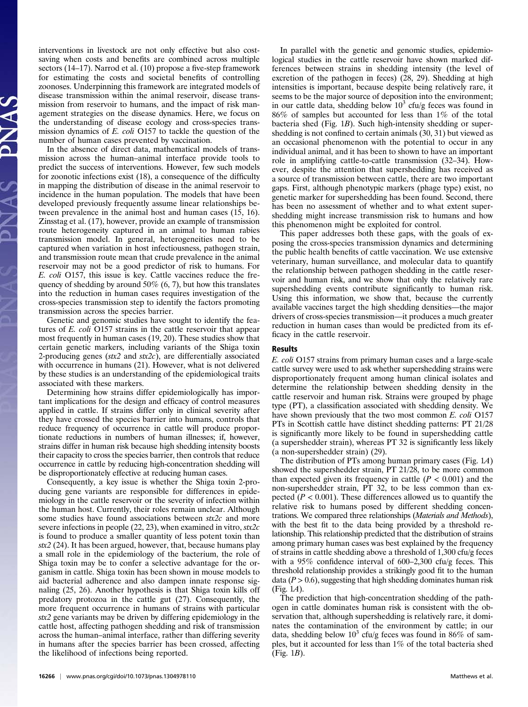interventions in livestock are not only effective but also costsaving when costs and benefits are combined across multiple sectors (14–17). Narrod et al. (10) propose a five-step framework for estimating the costs and societal benefits of controlling zoonoses. Underpinning this framework are integrated models of disease transmission within the animal reservoir, disease transmission from reservoir to humans, and the impact of risk management strategies on the disease dynamics. Here, we focus on the understanding of disease ecology and cross-species transmission dynamics of E. coli O157 to tackle the question of the number of human cases prevented by vaccination.

In the absence of direct data, mathematical models of transmission across the human–animal interface provide tools to predict the success of interventions. However, few such models for zoonotic infections exist (18), a consequence of the difficulty in mapping the distribution of disease in the animal reservoir to incidence in the human population. The models that have been developed previously frequently assume linear relationships between prevalence in the animal host and human cases  $(1\overline{5}, 16)$ . Zinsstag et al. (17), however, provide an example of transmission route heterogeneity captured in an animal to human rabies transmission model. In general, heterogeneities need to be captured when variation in host infectiousness, pathogen strain, and transmission route mean that crude prevalence in the animal reservoir may not be a good predictor of risk to humans. For E. coli O157, this issue is key. Cattle vaccines reduce the frequency of shedding by around  $50\%$  (6, 7), but how this translates into the reduction in human cases requires investigation of the cross-species transmission step to identify the factors promoting transmission across the species barrier.

Genetic and genomic studies have sought to identify the features of E. coli O157 strains in the cattle reservoir that appear most frequently in human cases (19, 20). These studies show that certain genetic markers, including variants of the Shiga toxin 2-producing genes ( $\text{str2}$  and  $\text{str2c}$ ), are differentially associated with occurrence in humans (21). However, what is not delivered by these studies is an understanding of the epidemiological traits associated with these markers.

Determining how strains differ epidemiologically has important implications for the design and efficacy of control measures applied in cattle. If strains differ only in clinical severity after they have crossed the species barrier into humans, controls that reduce frequency of occurrence in cattle will produce proportionate reductions in numbers of human illnesses; if, however, strains differ in human risk because high shedding intensity boosts their capacity to cross the species barrier, then controls that reduce occurrence in cattle by reducing high-concentration shedding will be disproportionately effective at reducing human cases.

Consequently, a key issue is whether the Shiga toxin 2-producing gene variants are responsible for differences in epidemiology in the cattle reservoir or the severity of infection within the human host. Currently, their roles remain unclear. Although some studies have found associations between stx2c and more severe infections in people  $(22, 23)$ , when examined in vitro,  $\text{str2c}$ is found to produce a smaller quantity of less potent toxin than stx2 (24). It has been argued, however, that, because humans play a small role in the epidemiology of the bacterium, the role of Shiga toxin may be to confer a selective advantage for the organism in cattle. Shiga toxin has been shown in mouse models to aid bacterial adherence and also dampen innate response signaling (25, 26). Another hypothesis is that Shiga toxin kills off predatory protozoa in the cattle gut (27). Consequently, the more frequent occurrence in humans of strains with particular stx2 gene variants may be driven by differing epidemiology in the cattle host, affecting pathogen shedding and risk of transmission across the human–animal interface, rather than differing severity in humans after the species barrier has been crossed, affecting the likelihood of infections being reported.

In parallel with the genetic and genomic studies, epidemiological studies in the cattle reservoir have shown marked differences between strains in shedding intensity (the level of excretion of the pathogen in feces) (28, 29). Shedding at high intensities is important, because despite being relatively rare, it seems to be the major source of deposition into the environment; in our cattle data, shedding below  $10<sup>3</sup>$  cfu/g feces was found in 86% of samples but accounted for less than 1% of the total bacteria shed (Fig. 1B). Such high-intensity shedding or supershedding is not confined to certain animals (30, 31) but viewed as an occasional phenomenon with the potential to occur in any individual animal, and it has been to shown to have an important role in amplifying cattle-to-cattle transmission (32–34). However, despite the attention that supershedding has received as a source of transmission between cattle, there are two important gaps. First, although phenotypic markers (phage type) exist, no genetic marker for supershedding has been found. Second, there has been no assessment of whether and to what extent supershedding might increase transmission risk to humans and how this phenomenon might be exploited for control.

This paper addresses both these gaps, with the goals of exposing the cross-species transmission dynamics and determining the public health benefits of cattle vaccination. We use extensive veterinary, human surveillance, and molecular data to quantify the relationship between pathogen shedding in the cattle reservoir and human risk, and we show that only the relatively rare supershedding events contribute significantly to human risk. Using this information, we show that, because the currently available vaccines target the high shedding densities—the major drivers of cross-species transmission—it produces a much greater reduction in human cases than would be predicted from its efficacy in the cattle reservoir.

#### Results

E. coli O157 strains from primary human cases and a large-scale cattle survey were used to ask whether supershedding strains were disproportionately frequent among human clinical isolates and determine the relationship between shedding density in the cattle reservoir and human risk. Strains were grouped by phage type (PT), a classification associated with shedding density. We have shown previously that the two most common E. coli O157 PTs in Scottish cattle have distinct shedding patterns: PT 21/28 is significantly more likely to be found in supershedding cattle (a supershedder strain), whereas PT 32 is significantly less likely (a non-supershedder strain) (29).

The distribution of PTs among human primary cases (Fig. 1A) showed the supershedder strain, PT 21/28, to be more common than expected given its frequency in cattle  $(P < 0.001)$  and the non-supershedder strain, PT 32, to be less common than expected  $(P < 0.001)$ . These differences allowed us to quantify the relative risk to humans posed by different shedding concentrations. We compared three relationships (Materials and Methods), with the best fit to the data being provided by a threshold relationship. This relationship predicted that the distribution of strains among primary human cases was best explained by the frequency of strains in cattle shedding above a threshold of 1,300 cfu/g feces with a 95% confidence interval of 600–2,300 cfu/g feces. This threshold relationship provides a strikingly good fit to the human data ( $P > 0.6$ ), suggesting that high shedding dominates human risk (Fig. 1A).

The prediction that high-concentration shedding of the pathogen in cattle dominates human risk is consistent with the observation that, although supershedding is relatively rare, it dominates the contamination of the environment by cattle; in our data, shedding below  $10^3$  cfu/g feces was found in 86% of samples, but it accounted for less than 1% of the total bacteria shed (Fig. 1B).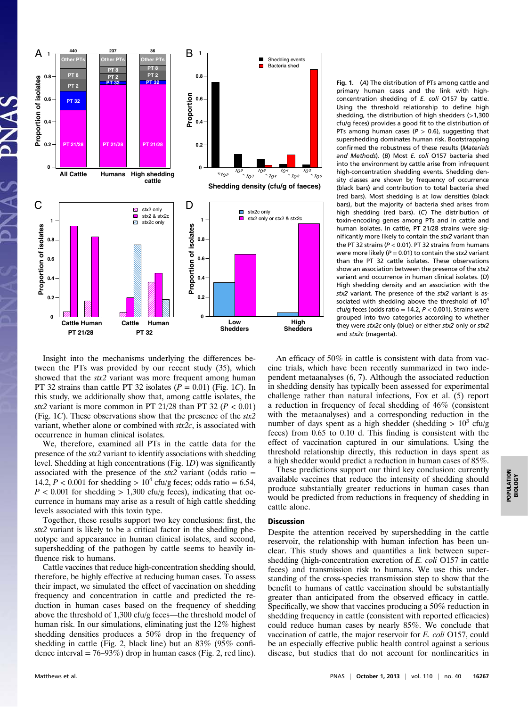

Insight into the mechanisms underlying the differences between the PTs was provided by our recent study (35), which showed that the *stx2* variant was more frequent among human PT 32 strains than cattle PT 32 isolates  $(P = 0.01)$  (Fig. 1C). In this study, we additionally show that, among cattle isolates, the stx2 variant is more common in PT 21/28 than PT 32 ( $P < 0.01$ ) (Fig. 1C). These observations show that the presence of the  $\text{str2}$ variant, whether alone or combined with stx2c, is associated with occurrence in human clinical isolates.

We, therefore, examined all PTs in the cattle data for the presence of the stx2 variant to identify associations with shedding level. Shedding at high concentrations (Fig. 1D) was significantly associated with the presence of the  $stx2$  variant (odds ratio = 14.2,  $P < 0.001$  for shedding  $> 10<sup>4</sup>$  cfu/g feces; odds ratio = 6.54,  $P < 0.001$  for shedding  $> 1,300$  cfu/g feces), indicating that occurrence in humans may arise as a result of high cattle shedding levels associated with this toxin type.

Together, these results support two key conclusions: first, the stx2 variant is likely to be a critical factor in the shedding phenotype and appearance in human clinical isolates, and second, supershedding of the pathogen by cattle seems to heavily influence risk to humans.

Cattle vaccines that reduce high-concentration shedding should, therefore, be highly effective at reducing human cases. To assess their impact, we simulated the effect of vaccination on shedding frequency and concentration in cattle and predicted the reduction in human cases based on the frequency of shedding above the threshold of 1,300 cfu/g feces—the threshold model of human risk. In our simulations, eliminating just the 12% highest shedding densities produces a 50% drop in the frequency of shedding in cattle (Fig. 2, black line) but an 83% (95% confidence interval =  $76-93\%$ ) drop in human cases (Fig. 2, red line).

Fig. 1. (A) The distribution of PTs among cattle and primary human cases and the link with highconcentration shedding of E. coli O157 by cattle. Using the threshold relationship to define high shedding, the distribution of high shedders (>1,300 cfu/g feces) provides a good fit to the distribution of PTs among human cases ( $P > 0.6$ ), suggesting that supershedding dominates human risk. Bootstrapping confirmed the robustness of these results (Materials and Methods). (B) Most E. coli O157 bacteria shed into the environment by cattle arise from infrequent high-concentration shedding events. Shedding density classes are shown by frequency of occurrence (black bars) and contribution to total bacteria shed (red bars). Most shedding is at low densities (black bars), but the majority of bacteria shed arises from high shedding (red bars). (C) The distribution of toxin-encoding genes among PTs and in cattle and human isolates. In cattle, PT 21/28 strains were significantly more likely to contain the stx2 variant than the PT 32 strains ( $P < 0.01$ ). PT 32 strains from humans were more likely ( $P = 0.01$ ) to contain the stx2 variant than the PT 32 cattle isolates. These observations show an association between the presence of the stx2 variant and occurrence in human clinical isolates. (D) High shedding density and an association with the stx2 variant. The presence of the stx2 variant is associated with shedding above the threshold of 104 cfu/g feces (odds ratio = 14.2,  $P < 0.001$ ). Strains were grouped into two categories according to whether they were stx2c only (blue) or either stx2 only or stx2 and stx2c (magenta).

An efficacy of 50% in cattle is consistent with data from vaccine trials, which have been recently summarized in two independent metaanalyses (6, 7). Although the associated reduction in shedding density has typically been assessed for experimental challenge rather than natural infections, Fox et al. (5) report a reduction in frequency of fecal shedding of 46% (consistent with the metaanalyses) and a corresponding reduction in the number of days spent as a high shedder (shedding  $> 10<sup>3</sup>$  cfu/g feces) from 0.65 to 0.10 d. This finding is consistent with the effect of vaccination captured in our simulations. Using the threshold relationship directly, this reduction in days spent as a high shedder would predict a reduction in human cases of 85%.

These predictions support our third key conclusion: currently available vaccines that reduce the intensity of shedding should produce substantially greater reductions in human cases than would be predicted from reductions in frequency of shedding in cattle alone.

#### Discussion

Despite the attention received by supershedding in the cattle reservoir, the relationship with human infection has been unclear. This study shows and quantifies a link between supershedding (high-concentration excretion of E. coli O157 in cattle feces) and transmission risk to humans. We use this understanding of the cross-species transmission step to show that the benefit to humans of cattle vaccination should be substantially greater than anticipated from the observed efficacy in cattle. Specifically, we show that vaccines producing a 50% reduction in shedding frequency in cattle (consistent with reported efficacies) could reduce human cases by nearly 85%. We conclude that vaccination of cattle, the major reservoir for E. coli O157, could be an especially effective public health control against a serious disease, but studies that do not account for nonlinearities in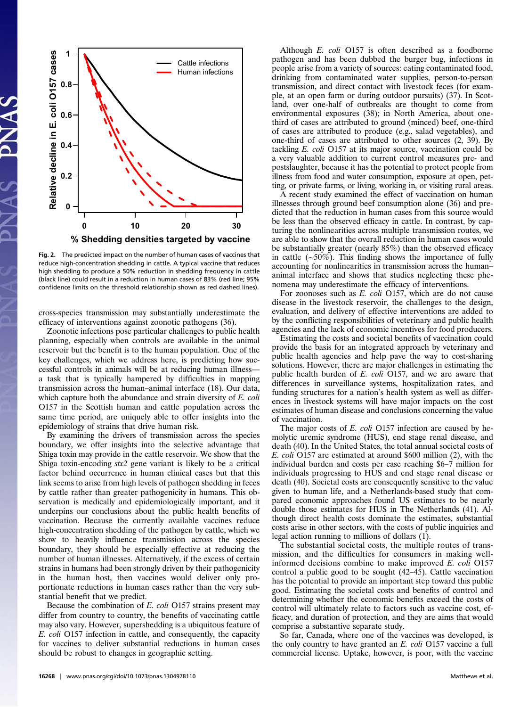

Fig. 2. The predicted impact on the number of human cases of vaccines that reduce high-concentration shedding in cattle. A typical vaccine that reduces high shedding to produce a 50% reduction in shedding frequency in cattle (black line) could result in a reduction in human cases of 83% (red line; 95% confidence limits on the threshold relationship shown as red dashed lines).

cross-species transmission may substantially underestimate the efficacy of interventions against zoonotic pathogens (36).

Zoonotic infections pose particular challenges to public health planning, especially when controls are available in the animal reservoir but the benefit is to the human population. One of the key challenges, which we address here, is predicting how successful controls in animals will be at reducing human illness a task that is typically hampered by difficulties in mapping transmission across the human–animal interface (18). Our data, which capture both the abundance and strain diversity of E. coli O157 in the Scottish human and cattle population across the same time period, are uniquely able to offer insights into the epidemiology of strains that drive human risk.

By examining the drivers of transmission across the species boundary, we offer insights into the selective advantage that Shiga toxin may provide in the cattle reservoir. We show that the Shiga toxin-encoding  $stx2$  gene variant is likely to be a critical factor behind occurrence in human clinical cases but that this link seems to arise from high levels of pathogen shedding in feces by cattle rather than greater pathogenicity in humans. This observation is medically and epidemiologically important, and it underpins our conclusions about the public health benefits of vaccination. Because the currently available vaccines reduce high-concentration shedding of the pathogen by cattle, which we show to heavily influence transmission across the species boundary, they should be especially effective at reducing the number of human illnesses. Alternatively, if the excess of certain strains in humans had been strongly driven by their pathogenicity in the human host, then vaccines would deliver only proportionate reductions in human cases rather than the very substantial benefit that we predict.

Because the combination of E. coli O157 strains present may differ from country to country, the benefits of vaccinating cattle may also vary. However, supershedding is a ubiquitous feature of E. coli O157 infection in cattle, and consequently, the capacity for vaccines to deliver substantial reductions in human cases should be robust to changes in geographic setting.

Although E. coli O157 is often described as a foodborne pathogen and has been dubbed the burger bug, infections in people arise from a variety of sources: eating contaminated food, drinking from contaminated water supplies, person-to-person transmission, and direct contact with livestock feces (for example, at an open farm or during outdoor pursuits) (37). In Scotland, over one-half of outbreaks are thought to come from environmental exposures (38); in North America, about onethird of cases are attributed to ground (minced) beef, one-third of cases are attributed to produce (e.g., salad vegetables), and one-third of cases are attributed to other sources (2, 39). By tackling E. coli O157 at its major source, vaccination could be a very valuable addition to current control measures pre- and postslaughter, because it has the potential to protect people from illness from food and water consumption, exposure at open, petting, or private farms, or living, working in, or visiting rural areas.

A recent study examined the effect of vaccination on human illnesses through ground beef consumption alone (36) and predicted that the reduction in human cases from this source would be less than the observed efficacy in cattle. In contrast, by capturing the nonlinearities across multiple transmission routes, we are able to show that the overall reduction in human cases would be substantially greater (nearly 85%) than the observed efficacy in cattle (∼50%). This finding shows the importance of fully accounting for nonlinearities in transmission across the human– animal interface and shows that studies neglecting these phenomena may underestimate the efficacy of interventions.

For zoonoses such as E. coli O157, which are do not cause disease in the livestock reservoir, the challenges to the design, evaluation, and delivery of effective interventions are added to by the conflicting responsibilities of veterinary and public health agencies and the lack of economic incentives for food producers.

Estimating the costs and societal benefits of vaccination could provide the basis for an integrated approach by veterinary and public health agencies and help pave the way to cost-sharing solutions. However, there are major challenges in estimating the public health burden of E. coli O157, and we are aware that differences in surveillance systems, hospitalization rates, and funding structures for a nation's health system as well as differences in livestock systems will have major impacts on the cost estimates of human disease and conclusions concerning the value of vaccination.

The major costs of E. coli O157 infection are caused by hemolytic uremic syndrome (HUS), end stage renal disease, and death (40). In the United States, the total annual societal costs of E. coli O157 are estimated at around \$600 million (2), with the individual burden and costs per case reaching \$6–7 million for individuals progressing to HUS and end stage renal disease or death (40). Societal costs are consequently sensitive to the value given to human life, and a Netherlands-based study that compared economic approaches found US estimates to be nearly double those estimates for HUS in The Netherlands (41). Although direct health costs dominate the estimates, substantial costs arise in other sectors, with the costs of public inquiries and legal action running to millions of dollars (1).

The substantial societal costs, the multiple routes of transmission, and the difficulties for consumers in making wellinformed decisions combine to make improved E. coli O157 control a public good to be sought (42–45). Cattle vaccination has the potential to provide an important step toward this public good. Estimating the societal costs and benefits of control and determining whether the economic benefits exceed the costs of control will ultimately relate to factors such as vaccine cost, efficacy, and duration of protection, and they are aims that would comprise a substantive separate study.

So far, Canada, where one of the vaccines was developed, is the only country to have granted an E. coli O157 vaccine a full commercial license. Uptake, however, is poor, with the vaccine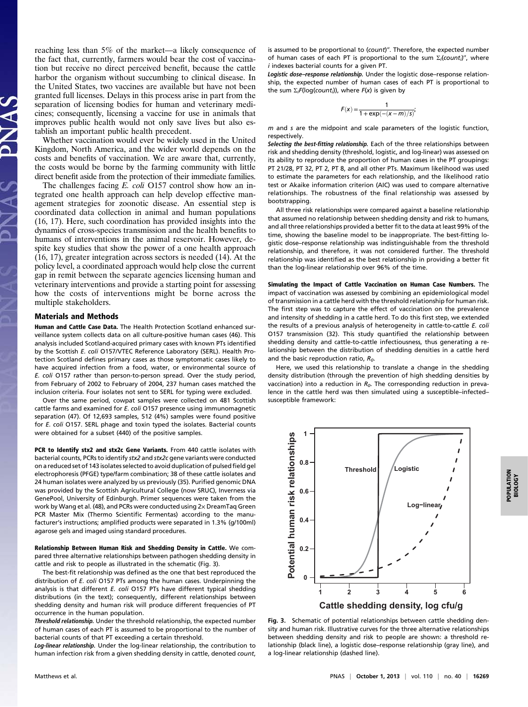reaching less than 5% of the market—a likely consequence of the fact that, currently, farmers would bear the cost of vaccination but receive no direct perceived benefit, because the cattle harbor the organism without succumbing to clinical disease. In the United States, two vaccines are available but have not been granted full licenses. Delays in this process arise in part from the separation of licensing bodies for human and veterinary medicines; consequently, licensing a vaccine for use in animals that improves public health would not only save lives but also establish an important public health precedent.

Whether vaccination would ever be widely used in the United Kingdom, North America, and the wider world depends on the costs and benefits of vaccination. We are aware that, currently, the costs would be borne by the farming community with little direct benefit aside from the protection of their immediate families.

The challenges facing E. coli O157 control show how an integrated one health approach can help develop effective management strategies for zoonotic disease. An essential step is coordinated data collection in animal and human populations (16, 17). Here, such coordination has provided insights into the dynamics of cross-species transmission and the health benefits to humans of interventions in the animal reservoir. However, despite key studies that show the power of a one health approach (16, 17), greater integration across sectors is needed (14). At the policy level, a coordinated approach would help close the current gap in remit between the separate agencies licensing human and veterinary interventions and provide a starting point for assessing how the costs of interventions might be borne across the multiple stakeholders.

#### Materials and Methods

Human and Cattle Case Data. The Health Protection Scotland enhanced surveillance system collects data on all culture-positive human cases (46). This analysis included Scotland-acquired primary cases with known PTs identified by the Scottish E. coli O157/VTEC Reference Laboratory (SERL). Health Protection Scotland defines primary cases as those symptomatic cases likely to have acquired infection from a food, water, or environmental source of E. coli O157 rather than person-to-person spread. Over the study period, from February of 2002 to February of 2004, 237 human cases matched the inclusion criteria. Four isolates not sent to SERL for typing were excluded.

Over the same period, cowpat samples were collected on 481 Scottish cattle farms and examined for E. coli O157 presence using immunomagnetic separation (47). Of 12,693 samples, 512 (4%) samples were found positive for E. coli O157. SERL phage and toxin typed the isolates. Bacterial counts were obtained for a subset (440) of the positive samples.

PCR to Identify stx2 and stx2c Gene Variants. From 440 cattle isolates with bacterial counts, PCRs to identify stx2 and stx2c gene variants were conducted on a reduced set of 143 isolates selected to avoid duplication of pulsedfield gel electrophoresis (PFGE) type/farm combination; 38 of these cattle isolates and 24 human isolates were analyzed by us previously (35). Purified genomic DNA was provided by the Scottish Agricultural College (now SRUC), Inverness via GenePool, University of Edinburgh. Primer sequences were taken from the work by Wang et al. (48), and PCRs were conducted using 2× DreamTaq Green PCR Master Mix (Thermo Scientific Fermentas) according to the manufacturer's instructions; amplified products were separated in 1.3% (g/100ml) agarose gels and imaged using standard procedures.

Relationship Between Human Risk and Shedding Density in Cattle. We compared three alternative relationships between pathogen shedding density in cattle and risk to people as illustrated in the schematic (Fig. 3).

The best-fit relationship was defined as the one that best reproduced the distribution of E. coli O157 PTs among the human cases. Underpinning the analysis is that different E. coli O157 PTs have different typical shedding distributions (in the text); consequently, different relationships between shedding density and human risk will produce different frequencies of PT occurrence in the human population.

Threshold relationship. Under the threshold relationship, the expected number of human cases of each PT is assumed to be proportional to the number of bacterial counts of that PT exceeding a certain threshold.

Log-linear relationship. Under the log-linear relationship, the contribution to human infection risk from a given shedding density in cattle, denoted count,

is assumed to be proportional to  $\left(\text{count}\right)^{\alpha}$ . Therefore, the expected number of human cases of each PT is proportional to the sum  $\Sigma_i$ (count;)<sup>a</sup>, where  $i$  indexes bacterial counts for a given PT.

Logistic dose-response relationship. Under the logistic dose-response relationship, the expected number of human cases of each PT is proportional to the sum  $\Sigma_i F(\log (count_i))$ , where  $F(x)$  is given by

$$
F(x) = \frac{1}{1 + \exp(-(x-m)/s)}
$$

 $m$  and s are the midpoint and scale parameters of the logistic function. respectively.

Selecting the best-fitting relationship. Each of the three relationships between risk and shedding density (threshold, logistic, and log-linear) was assessed on its ability to reproduce the proportion of human cases in the PT groupings: PT 21/28, PT 32, PT 2, PT 8, and all other PTs. Maximum likelihood was used to estimate the parameters for each relationship, and the likelihood ratio test or Akaike information criterion (AIC) was used to compare alternative relationships. The robustness of the final relationship was assessed by bootstrapping.

All three risk relationships were compared against a baseline relationship that assumed no relationship between shedding density and risk to humans, and all three relationships provided a better fit to the data at least 99% of the time, showing the baseline model to be inappropriate. The best-fitting logistic dose–response relationship was indistinguishable from the threshold relationship, and therefore, it was not considered further. The threshold relationship was identified as the best relationship in providing a better fit than the log-linear relationship over 96% of the time.

Simulating the Impact of Cattle Vaccination on Human Case Numbers. The impact of vaccination was assessed by combining an epidemiological model of transmission in a cattle herd with the threshold relationship for human risk. The first step was to capture the effect of vaccination on the prevalence and intensity of shedding in a cattle herd. To do this first step, we extended the results of a previous analysis of heterogeneity in cattle-to-cattle E. coli O157 transmission (32). This study quantified the relationship between shedding density and cattle-to-cattle infectiousness, thus generating a relationship between the distribution of shedding densities in a cattle herd and the basic reproduction ratio,  $R_0$ .

Here, we used this relationship to translate a change in the shedding density distribution (through the prevention of high shedding densities by vaccination) into a reduction in  $R_0$ . The corresponding reduction in prevalence in the cattle herd was then simulated using a susceptible–infected– susceptible framework:



Fig. 3. Schematic of potential relationships between cattle shedding density and human risk. Illustrative curves for the three alternative relationships between shedding density and risk to people are shown: a threshold relationship (black line), a logistic dose–response relationship (gray line), and a log-linear relationship (dashed line).